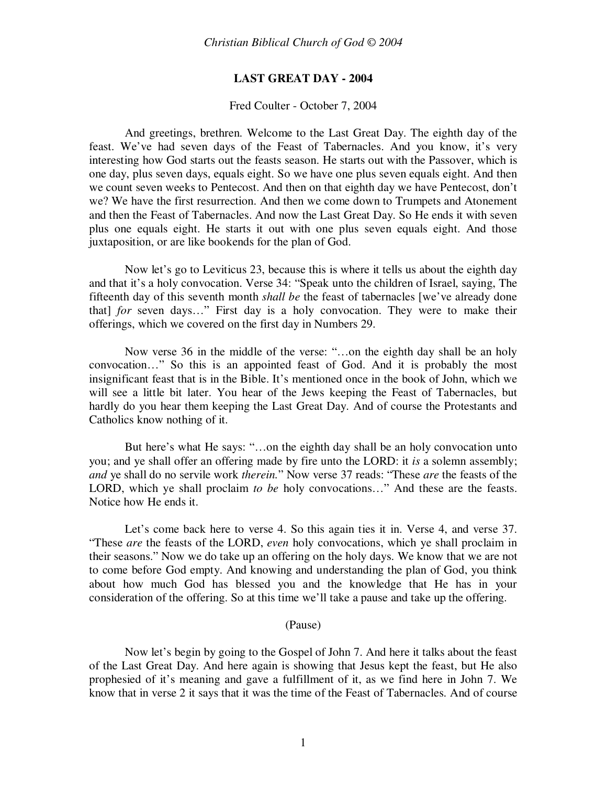# **LAST GREAT DAY - 2004**

### Fred Coulter - October 7, 2004

 And greetings, brethren. Welcome to the Last Great Day. The eighth day of the feast. We've had seven days of the Feast of Tabernacles. And you know, it's very interesting how God starts out the feasts season. He starts out with the Passover, which is one day, plus seven days, equals eight. So we have one plus seven equals eight. And then we count seven weeks to Pentecost. And then on that eighth day we have Pentecost, don't we? We have the first resurrection. And then we come down to Trumpets and Atonement and then the Feast of Tabernacles. And now the Last Great Day. So He ends it with seven plus one equals eight. He starts it out with one plus seven equals eight. And those juxtaposition, or are like bookends for the plan of God.

 Now let's go to Leviticus 23, because this is where it tells us about the eighth day and that it's a holy convocation. Verse 34: "Speak unto the children of Israel, saying, The fifteenth day of this seventh month *shall be* the feast of tabernacles [we've already done that] *for* seven days…" First day is a holy convocation. They were to make their offerings, which we covered on the first day in Numbers 29.

 Now verse 36 in the middle of the verse: "…on the eighth day shall be an holy convocation…" So this is an appointed feast of God. And it is probably the most insignificant feast that is in the Bible. It's mentioned once in the book of John, which we will see a little bit later. You hear of the Jews keeping the Feast of Tabernacles, but hardly do you hear them keeping the Last Great Day. And of course the Protestants and Catholics know nothing of it.

 But here's what He says: "…on the eighth day shall be an holy convocation unto you; and ye shall offer an offering made by fire unto the LORD: it *is* a solemn assembly; *and* ye shall do no servile work *therein.*" Now verse 37 reads: "These *are* the feasts of the LORD, which ye shall proclaim *to be* holy convocations..." And these are the feasts. Notice how He ends it.

Let's come back here to verse 4. So this again ties it in. Verse 4, and verse 37. "These *are* the feasts of the LORD, *even* holy convocations, which ye shall proclaim in their seasons." Now we do take up an offering on the holy days. We know that we are not to come before God empty. And knowing and understanding the plan of God, you think about how much God has blessed you and the knowledge that He has in your consideration of the offering. So at this time we'll take a pause and take up the offering.

#### (Pause)

 Now let's begin by going to the Gospel of John 7. And here it talks about the feast of the Last Great Day. And here again is showing that Jesus kept the feast, but He also prophesied of it's meaning and gave a fulfillment of it, as we find here in John 7. We know that in verse 2 it says that it was the time of the Feast of Tabernacles. And of course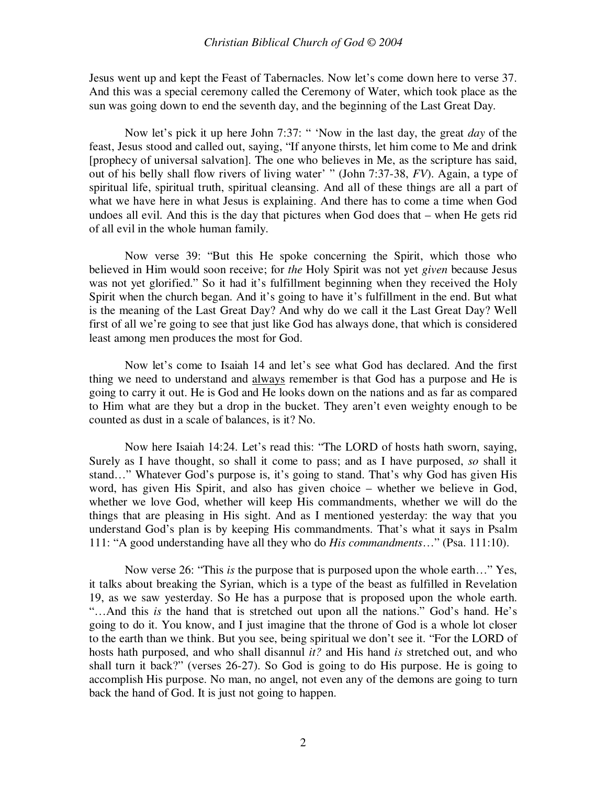Jesus went up and kept the Feast of Tabernacles. Now let's come down here to verse 37. And this was a special ceremony called the Ceremony of Water, which took place as the sun was going down to end the seventh day, and the beginning of the Last Great Day.

 Now let's pick it up here John 7:37: " 'Now in the last day, the great *day* of the feast, Jesus stood and called out, saying, "If anyone thirsts, let him come to Me and drink [prophecy of universal salvation]. The one who believes in Me, as the scripture has said, out of his belly shall flow rivers of living water' " (John 7:37-38, *FV*). Again, a type of spiritual life, spiritual truth, spiritual cleansing. And all of these things are all a part of what we have here in what Jesus is explaining. And there has to come a time when God undoes all evil. And this is the day that pictures when God does that – when He gets rid of all evil in the whole human family.

 Now verse 39: "But this He spoke concerning the Spirit, which those who believed in Him would soon receive; for *the* Holy Spirit was not yet *given* because Jesus was not yet glorified." So it had it's fulfillment beginning when they received the Holy Spirit when the church began. And it's going to have it's fulfillment in the end. But what is the meaning of the Last Great Day? And why do we call it the Last Great Day? Well first of all we're going to see that just like God has always done, that which is considered least among men produces the most for God.

 Now let's come to Isaiah 14 and let's see what God has declared. And the first thing we need to understand and always remember is that God has a purpose and He is going to carry it out. He is God and He looks down on the nations and as far as compared to Him what are they but a drop in the bucket. They aren't even weighty enough to be counted as dust in a scale of balances, is it? No.

 Now here Isaiah 14:24. Let's read this: "The LORD of hosts hath sworn, saying, Surely as I have thought, so shall it come to pass; and as I have purposed, *so* shall it stand…" Whatever God's purpose is, it's going to stand. That's why God has given His word, has given His Spirit, and also has given choice – whether we believe in God, whether we love God, whether will keep His commandments, whether we will do the things that are pleasing in His sight. And as I mentioned yesterday: the way that you understand God's plan is by keeping His commandments. That's what it says in Psalm 111: "A good understanding have all they who do *His commandments*…" (Psa. 111:10).

 Now verse 26: "This *is* the purpose that is purposed upon the whole earth…" Yes, it talks about breaking the Syrian, which is a type of the beast as fulfilled in Revelation 19, as we saw yesterday. So He has a purpose that is proposed upon the whole earth. "…And this *is* the hand that is stretched out upon all the nations." God's hand. He's going to do it. You know, and I just imagine that the throne of God is a whole lot closer to the earth than we think. But you see, being spiritual we don't see it. "For the LORD of hosts hath purposed, and who shall disannul *it?* and His hand *is* stretched out, and who shall turn it back?" (verses 26-27). So God is going to do His purpose. He is going to accomplish His purpose. No man, no angel, not even any of the demons are going to turn back the hand of God. It is just not going to happen.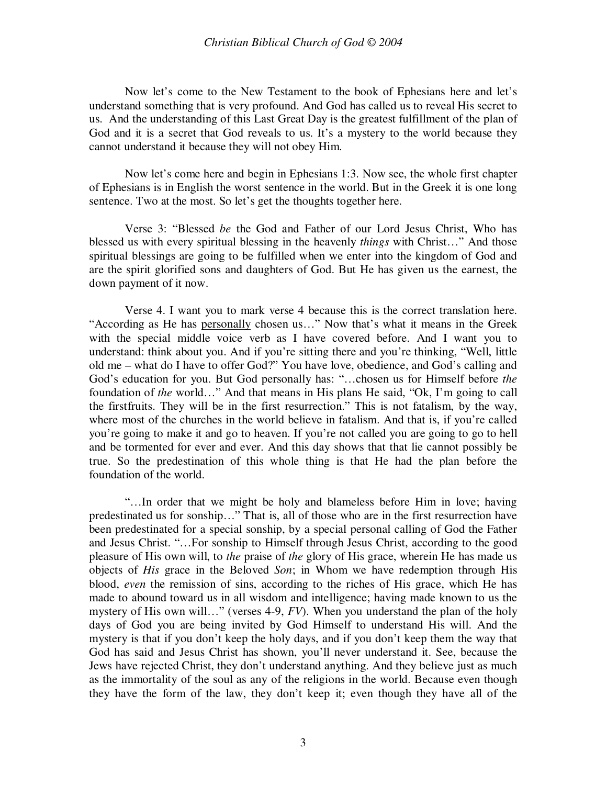Now let's come to the New Testament to the book of Ephesians here and let's understand something that is very profound. And God has called us to reveal His secret to us. And the understanding of this Last Great Day is the greatest fulfillment of the plan of God and it is a secret that God reveals to us. It's a mystery to the world because they cannot understand it because they will not obey Him.

 Now let's come here and begin in Ephesians 1:3. Now see, the whole first chapter of Ephesians is in English the worst sentence in the world. But in the Greek it is one long sentence. Two at the most. So let's get the thoughts together here.

 Verse 3: "Blessed *be* the God and Father of our Lord Jesus Christ, Who has blessed us with every spiritual blessing in the heavenly *things* with Christ…" And those spiritual blessings are going to be fulfilled when we enter into the kingdom of God and are the spirit glorified sons and daughters of God. But He has given us the earnest, the down payment of it now.

 Verse 4. I want you to mark verse 4 because this is the correct translation here. "According as He has personally chosen us…" Now that's what it means in the Greek with the special middle voice verb as I have covered before. And I want you to understand: think about you. And if you're sitting there and you're thinking, "Well, little old me – what do I have to offer God?" You have love, obedience, and God's calling and God's education for you. But God personally has: "…chosen us for Himself before *the* foundation of *the* world…" And that means in His plans He said, "Ok, I'm going to call the firstfruits. They will be in the first resurrection." This is not fatalism, by the way, where most of the churches in the world believe in fatalism. And that is, if you're called you're going to make it and go to heaven. If you're not called you are going to go to hell and be tormented for ever and ever. And this day shows that that lie cannot possibly be true. So the predestination of this whole thing is that He had the plan before the foundation of the world.

 "…In order that we might be holy and blameless before Him in love; having predestinated us for sonship…" That is, all of those who are in the first resurrection have been predestinated for a special sonship, by a special personal calling of God the Father and Jesus Christ. "…For sonship to Himself through Jesus Christ, according to the good pleasure of His own will, to *the* praise of *the* glory of His grace, wherein He has made us objects of *His* grace in the Beloved *Son*; in Whom we have redemption through His blood, *even* the remission of sins, according to the riches of His grace, which He has made to abound toward us in all wisdom and intelligence; having made known to us the mystery of His own will…" (verses 4-9, *FV*). When you understand the plan of the holy days of God you are being invited by God Himself to understand His will. And the mystery is that if you don't keep the holy days, and if you don't keep them the way that God has said and Jesus Christ has shown, you'll never understand it. See, because the Jews have rejected Christ, they don't understand anything. And they believe just as much as the immortality of the soul as any of the religions in the world. Because even though they have the form of the law, they don't keep it; even though they have all of the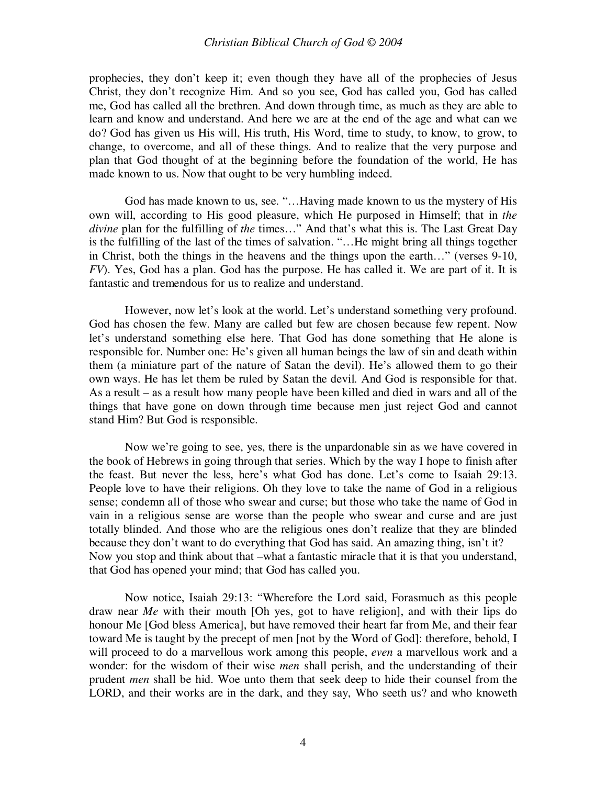prophecies, they don't keep it; even though they have all of the prophecies of Jesus Christ, they don't recognize Him. And so you see, God has called you, God has called me, God has called all the brethren. And down through time, as much as they are able to learn and know and understand. And here we are at the end of the age and what can we do? God has given us His will, His truth, His Word, time to study, to know, to grow, to change, to overcome, and all of these things. And to realize that the very purpose and plan that God thought of at the beginning before the foundation of the world, He has made known to us. Now that ought to be very humbling indeed.

 God has made known to us, see. "…Having made known to us the mystery of His own will, according to His good pleasure, which He purposed in Himself; that in *the divine* plan for the fulfilling of *the* times…" And that's what this is. The Last Great Day is the fulfilling of the last of the times of salvation. "…He might bring all things together in Christ, both the things in the heavens and the things upon the earth…" (verses 9-10, *FV*). Yes, God has a plan. God has the purpose. He has called it. We are part of it. It is fantastic and tremendous for us to realize and understand.

 However, now let's look at the world. Let's understand something very profound. God has chosen the few. Many are called but few are chosen because few repent. Now let's understand something else here. That God has done something that He alone is responsible for. Number one: He's given all human beings the law of sin and death within them (a miniature part of the nature of Satan the devil). He's allowed them to go their own ways. He has let them be ruled by Satan the devil. And God is responsible for that. As a result – as a result how many people have been killed and died in wars and all of the things that have gone on down through time because men just reject God and cannot stand Him? But God is responsible.

 Now we're going to see, yes, there is the unpardonable sin as we have covered in the book of Hebrews in going through that series. Which by the way I hope to finish after the feast. But never the less, here's what God has done. Let's come to Isaiah 29:13. People love to have their religions. Oh they love to take the name of God in a religious sense; condemn all of those who swear and curse; but those who take the name of God in vain in a religious sense are worse than the people who swear and curse and are just totally blinded. And those who are the religious ones don't realize that they are blinded because they don't want to do everything that God has said. An amazing thing, isn't it? Now you stop and think about that –what a fantastic miracle that it is that you understand, that God has opened your mind; that God has called you.

 Now notice, Isaiah 29:13: "Wherefore the Lord said, Forasmuch as this people draw near *Me* with their mouth [Oh yes, got to have religion], and with their lips do honour Me [God bless America], but have removed their heart far from Me, and their fear toward Me is taught by the precept of men [not by the Word of God]: therefore, behold, I will proceed to do a marvellous work among this people, *even* a marvellous work and a wonder: for the wisdom of their wise *men* shall perish, and the understanding of their prudent *men* shall be hid. Woe unto them that seek deep to hide their counsel from the LORD, and their works are in the dark, and they say, Who seeth us? and who knoweth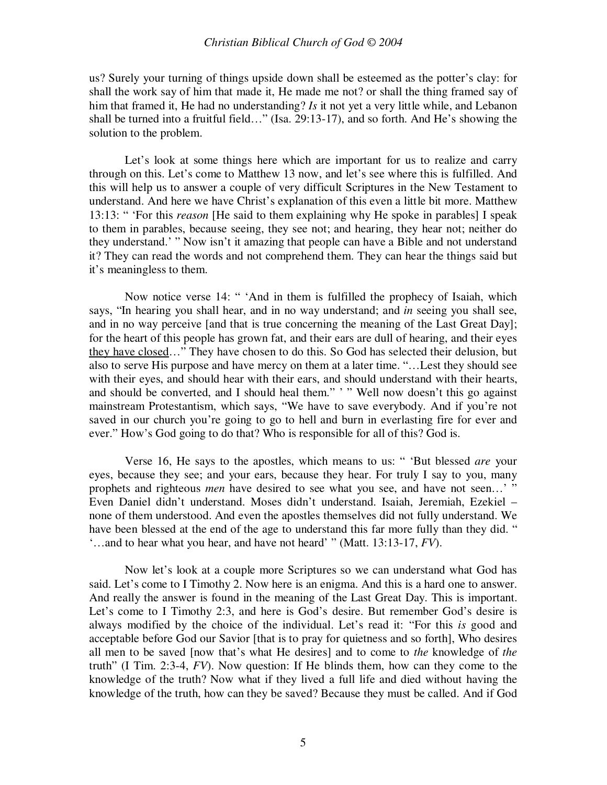us? Surely your turning of things upside down shall be esteemed as the potter's clay: for shall the work say of him that made it, He made me not? or shall the thing framed say of him that framed it, He had no understanding? *Is* it not yet a very little while, and Lebanon shall be turned into a fruitful field…" (Isa. 29:13-17), and so forth. And He's showing the solution to the problem.

 Let's look at some things here which are important for us to realize and carry through on this. Let's come to Matthew 13 now, and let's see where this is fulfilled. And this will help us to answer a couple of very difficult Scriptures in the New Testament to understand. And here we have Christ's explanation of this even a little bit more. Matthew 13:13: " 'For this *reason* [He said to them explaining why He spoke in parables] I speak to them in parables, because seeing, they see not; and hearing, they hear not; neither do they understand.' " Now isn't it amazing that people can have a Bible and not understand it? They can read the words and not comprehend them. They can hear the things said but it's meaningless to them.

 Now notice verse 14: " 'And in them is fulfilled the prophecy of Isaiah, which says, "In hearing you shall hear, and in no way understand; and *in* seeing you shall see, and in no way perceive [and that is true concerning the meaning of the Last Great Day]; for the heart of this people has grown fat, and their ears are dull of hearing, and their eyes they have closed…" They have chosen to do this. So God has selected their delusion, but also to serve His purpose and have mercy on them at a later time. "…Lest they should see with their eyes, and should hear with their ears, and should understand with their hearts, and should be converted, and I should heal them." ' " Well now doesn't this go against mainstream Protestantism, which says, "We have to save everybody. And if you're not saved in our church you're going to go to hell and burn in everlasting fire for ever and ever." How's God going to do that? Who is responsible for all of this? God is.

 Verse 16, He says to the apostles, which means to us: " 'But blessed *are* your eyes, because they see; and your ears, because they hear. For truly I say to you, many prophets and righteous *men* have desired to see what you see, and have not seen…' " Even Daniel didn't understand. Moses didn't understand. Isaiah, Jeremiah, Ezekiel – none of them understood. And even the apostles themselves did not fully understand. We have been blessed at the end of the age to understand this far more fully than they did. " '…and to hear what you hear, and have not heard' " (Matt. 13:13-17, *FV*).

 Now let's look at a couple more Scriptures so we can understand what God has said. Let's come to I Timothy 2. Now here is an enigma. And this is a hard one to answer. And really the answer is found in the meaning of the Last Great Day. This is important. Let's come to I Timothy 2:3, and here is God's desire. But remember God's desire is always modified by the choice of the individual. Let's read it: "For this *is* good and acceptable before God our Savior [that is to pray for quietness and so forth], Who desires all men to be saved [now that's what He desires] and to come to *the* knowledge of *the* truth" (I Tim. 2:3-4, *FV*). Now question: If He blinds them, how can they come to the knowledge of the truth? Now what if they lived a full life and died without having the knowledge of the truth, how can they be saved? Because they must be called. And if God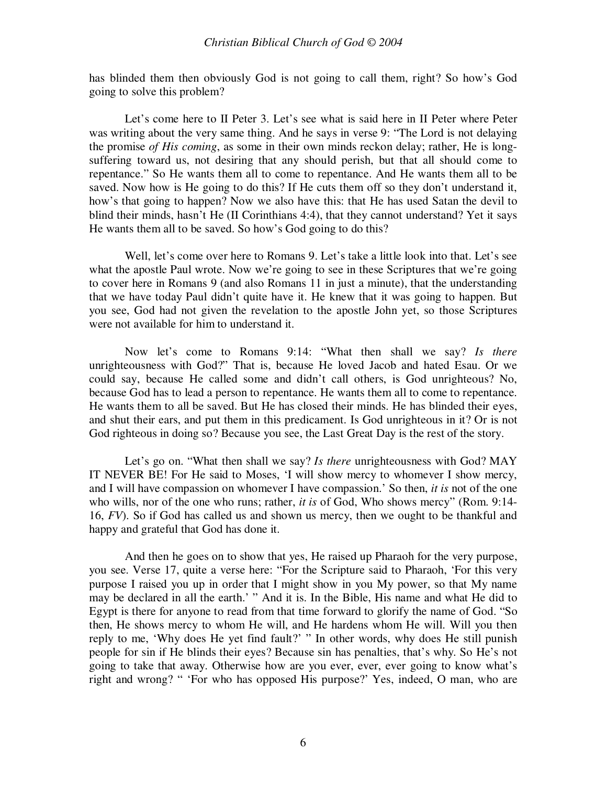has blinded them then obviously God is not going to call them, right? So how's God going to solve this problem?

 Let's come here to II Peter 3. Let's see what is said here in II Peter where Peter was writing about the very same thing. And he says in verse 9: "The Lord is not delaying the promise *of His coming*, as some in their own minds reckon delay; rather, He is longsuffering toward us, not desiring that any should perish, but that all should come to repentance." So He wants them all to come to repentance. And He wants them all to be saved. Now how is He going to do this? If He cuts them off so they don't understand it, how's that going to happen? Now we also have this: that He has used Satan the devil to blind their minds, hasn't He (II Corinthians 4:4), that they cannot understand? Yet it says He wants them all to be saved. So how's God going to do this?

 Well, let's come over here to Romans 9. Let's take a little look into that. Let's see what the apostle Paul wrote. Now we're going to see in these Scriptures that we're going to cover here in Romans 9 (and also Romans 11 in just a minute), that the understanding that we have today Paul didn't quite have it. He knew that it was going to happen. But you see, God had not given the revelation to the apostle John yet, so those Scriptures were not available for him to understand it.

 Now let's come to Romans 9:14: "What then shall we say? *Is there* unrighteousness with God?" That is, because He loved Jacob and hated Esau. Or we could say, because He called some and didn't call others, is God unrighteous? No, because God has to lead a person to repentance. He wants them all to come to repentance. He wants them to all be saved. But He has closed their minds. He has blinded their eyes, and shut their ears, and put them in this predicament. Is God unrighteous in it? Or is not God righteous in doing so? Because you see, the Last Great Day is the rest of the story.

 Let's go on. "What then shall we say? *Is there* unrighteousness with God? MAY IT NEVER BE! For He said to Moses, 'I will show mercy to whomever I show mercy, and I will have compassion on whomever I have compassion.' So then, *it is* not of the one who wills, nor of the one who runs; rather, *it is* of God, Who shows mercy" (Rom. 9:14- 16, *FV*). So if God has called us and shown us mercy, then we ought to be thankful and happy and grateful that God has done it.

 And then he goes on to show that yes, He raised up Pharaoh for the very purpose, you see. Verse 17, quite a verse here: "For the Scripture said to Pharaoh, 'For this very purpose I raised you up in order that I might show in you My power, so that My name may be declared in all the earth.' " And it is. In the Bible, His name and what He did to Egypt is there for anyone to read from that time forward to glorify the name of God. "So then, He shows mercy to whom He will, and He hardens whom He will. Will you then reply to me, 'Why does He yet find fault?' " In other words, why does He still punish people for sin if He blinds their eyes? Because sin has penalties, that's why. So He's not going to take that away. Otherwise how are you ever, ever, ever going to know what's right and wrong? " 'For who has opposed His purpose?' Yes, indeed, O man, who are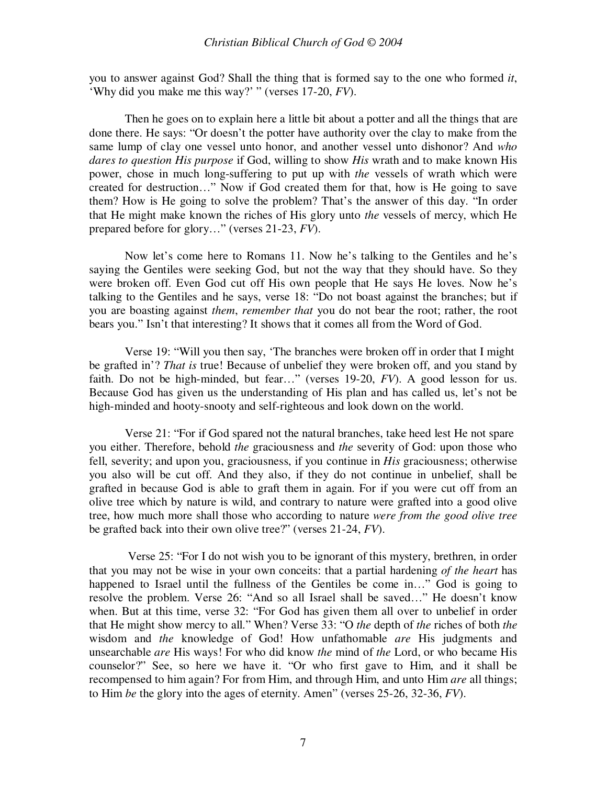you to answer against God? Shall the thing that is formed say to the one who formed *it*, 'Why did you make me this way?' " (verses 17-20, *FV*).

 Then he goes on to explain here a little bit about a potter and all the things that are done there. He says: "Or doesn't the potter have authority over the clay to make from the same lump of clay one vessel unto honor, and another vessel unto dishonor? And *who dares to question His purpose* if God, willing to show *His* wrath and to make known His power, chose in much long-suffering to put up with *the* vessels of wrath which were created for destruction…" Now if God created them for that, how is He going to save them? How is He going to solve the problem? That's the answer of this day. "In order that He might make known the riches of His glory unto *the* vessels of mercy, which He prepared before for glory…" (verses 21-23, *FV*).

 Now let's come here to Romans 11. Now he's talking to the Gentiles and he's saying the Gentiles were seeking God, but not the way that they should have. So they were broken off. Even God cut off His own people that He says He loves. Now he's talking to the Gentiles and he says, verse 18: "Do not boast against the branches; but if you are boasting against *them*, *remember that* you do not bear the root; rather, the root bears you." Isn't that interesting? It shows that it comes all from the Word of God.

 Verse 19: "Will you then say, 'The branches were broken off in order that I might be grafted in'? *That is* true! Because of unbelief they were broken off, and you stand by faith. Do not be high-minded, but fear…" (verses 19-20, *FV*). A good lesson for us. Because God has given us the understanding of His plan and has called us, let's not be high-minded and hooty-snooty and self-righteous and look down on the world.

 Verse 21: "For if God spared not the natural branches, take heed lest He not spare you either. Therefore, behold *the* graciousness and *the* severity of God: upon those who fell, severity; and upon you, graciousness, if you continue in *His* graciousness; otherwise you also will be cut off. And they also, if they do not continue in unbelief, shall be grafted in because God is able to graft them in again. For if you were cut off from an olive tree which by nature is wild, and contrary to nature were grafted into a good olive tree, how much more shall those who according to nature *were from the good olive tree* be grafted back into their own olive tree?" (verses 21-24, *FV*).

 Verse 25: "For I do not wish you to be ignorant of this mystery, brethren, in order that you may not be wise in your own conceits: that a partial hardening *of the heart* has happened to Israel until the fullness of the Gentiles be come in…" God is going to resolve the problem. Verse 26: "And so all Israel shall be saved…" He doesn't know when. But at this time, verse 32: "For God has given them all over to unbelief in order that He might show mercy to all." When? Verse 33: "O *the* depth of *the* riches of both *the* wisdom and *the* knowledge of God! How unfathomable *are* His judgments and unsearchable *are* His ways! For who did know *the* mind of *the* Lord, or who became His counselor?" See, so here we have it. "Or who first gave to Him, and it shall be recompensed to him again? For from Him, and through Him, and unto Him *are* all things; to Him *be* the glory into the ages of eternity. Amen" (verses 25-26, 32-36, *FV*).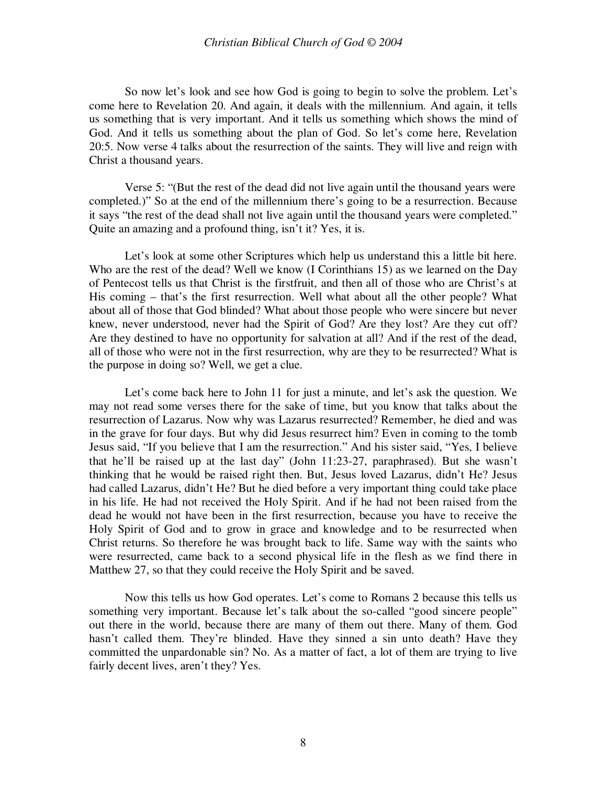So now let's look and see how God is going to begin to solve the problem. Let's come here to Revelation 20. And again, it deals with the millennium. And again, it tells us something that is very important. And it tells us something which shows the mind of God. And it tells us something about the plan of God. So let's come here, Revelation 20:5. Now verse 4 talks about the resurrection of the saints. They will live and reign with Christ a thousand years.

 Verse 5: "(But the rest of the dead did not live again until the thousand years were completed.)" So at the end of the millennium there's going to be a resurrection. Because it says "the rest of the dead shall not live again until the thousand years were completed." Quite an amazing and a profound thing, isn't it? Yes, it is.

 Let's look at some other Scriptures which help us understand this a little bit here. Who are the rest of the dead? Well we know (I Corinthians 15) as we learned on the Day of Pentecost tells us that Christ is the firstfruit, and then all of those who are Christ's at His coming – that's the first resurrection. Well what about all the other people? What about all of those that God blinded? What about those people who were sincere but never knew, never understood, never had the Spirit of God? Are they lost? Are they cut off? Are they destined to have no opportunity for salvation at all? And if the rest of the dead, all of those who were not in the first resurrection, why are they to be resurrected? What is the purpose in doing so? Well, we get a clue.

Let's come back here to John 11 for just a minute, and let's ask the question. We may not read some verses there for the sake of time, but you know that talks about the resurrection of Lazarus. Now why was Lazarus resurrected? Remember, he died and was in the grave for four days. But why did Jesus resurrect him? Even in coming to the tomb Jesus said, "If you believe that I am the resurrection." And his sister said, "Yes, I believe that he'll be raised up at the last day" (John 11:23-27, paraphrased). But she wasn't thinking that he would be raised right then. But, Jesus loved Lazarus, didn't He? Jesus had called Lazarus, didn't He? But he died before a very important thing could take place in his life. He had not received the Holy Spirit. And if he had not been raised from the dead he would not have been in the first resurrection, because you have to receive the Holy Spirit of God and to grow in grace and knowledge and to be resurrected when Christ returns. So therefore he was brought back to life. Same way with the saints who were resurrected, came back to a second physical life in the flesh as we find there in Matthew 27, so that they could receive the Holy Spirit and be saved.

 Now this tells us how God operates. Let's come to Romans 2 because this tells us something very important. Because let's talk about the so-called "good sincere people" out there in the world, because there are many of them out there. Many of them. God hasn't called them. They're blinded. Have they sinned a sin unto death? Have they committed the unpardonable sin? No. As a matter of fact, a lot of them are trying to live fairly decent lives, aren't they? Yes.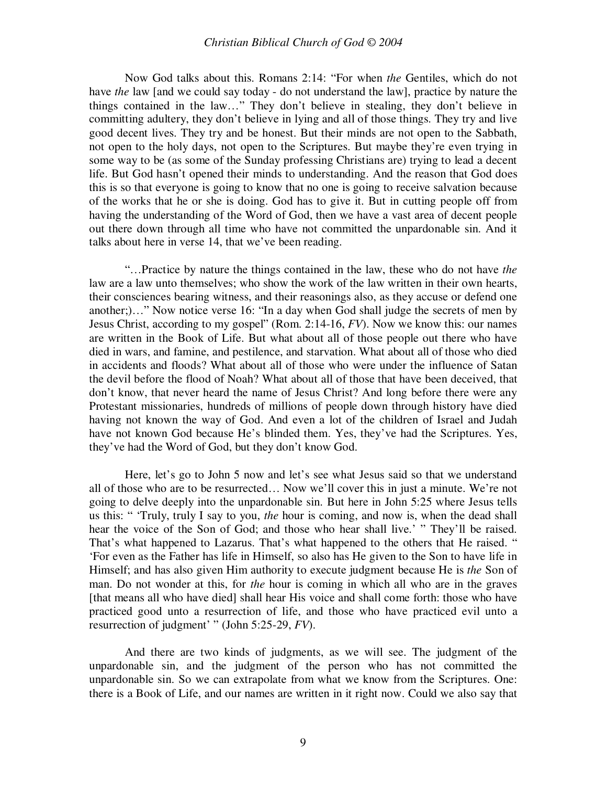Now God talks about this. Romans 2:14: "For when *the* Gentiles, which do not have *the* law [and we could say today - do not understand the law], practice by nature the things contained in the law…" They don't believe in stealing, they don't believe in committing adultery, they don't believe in lying and all of those things. They try and live good decent lives. They try and be honest. But their minds are not open to the Sabbath, not open to the holy days, not open to the Scriptures. But maybe they're even trying in some way to be (as some of the Sunday professing Christians are) trying to lead a decent life. But God hasn't opened their minds to understanding. And the reason that God does this is so that everyone is going to know that no one is going to receive salvation because of the works that he or she is doing. God has to give it. But in cutting people off from having the understanding of the Word of God, then we have a vast area of decent people out there down through all time who have not committed the unpardonable sin. And it talks about here in verse 14, that we've been reading.

 "…Practice by nature the things contained in the law, these who do not have *the* law are a law unto themselves; who show the work of the law written in their own hearts, their consciences bearing witness, and their reasonings also, as they accuse or defend one another;)…" Now notice verse 16: "In a day when God shall judge the secrets of men by Jesus Christ, according to my gospel" (Rom. 2:14-16, *FV*). Now we know this: our names are written in the Book of Life. But what about all of those people out there who have died in wars, and famine, and pestilence, and starvation. What about all of those who died in accidents and floods? What about all of those who were under the influence of Satan the devil before the flood of Noah? What about all of those that have been deceived, that don't know, that never heard the name of Jesus Christ? And long before there were any Protestant missionaries, hundreds of millions of people down through history have died having not known the way of God. And even a lot of the children of Israel and Judah have not known God because He's blinded them. Yes, they've had the Scriptures. Yes, they've had the Word of God, but they don't know God.

 Here, let's go to John 5 now and let's see what Jesus said so that we understand all of those who are to be resurrected… Now we'll cover this in just a minute. We're not going to delve deeply into the unpardonable sin. But here in John 5:25 where Jesus tells us this: " 'Truly, truly I say to you, *the* hour is coming, and now is, when the dead shall hear the voice of the Son of God; and those who hear shall live.' " They'll be raised. That's what happened to Lazarus. That's what happened to the others that He raised. " 'For even as the Father has life in Himself, so also has He given to the Son to have life in Himself; and has also given Him authority to execute judgment because He is *the* Son of man. Do not wonder at this, for *the* hour is coming in which all who are in the graves [that means all who have died] shall hear His voice and shall come forth: those who have practiced good unto a resurrection of life, and those who have practiced evil unto a resurrection of judgment' " (John 5:25-29, *FV*).

 And there are two kinds of judgments, as we will see. The judgment of the unpardonable sin, and the judgment of the person who has not committed the unpardonable sin. So we can extrapolate from what we know from the Scriptures. One: there is a Book of Life, and our names are written in it right now. Could we also say that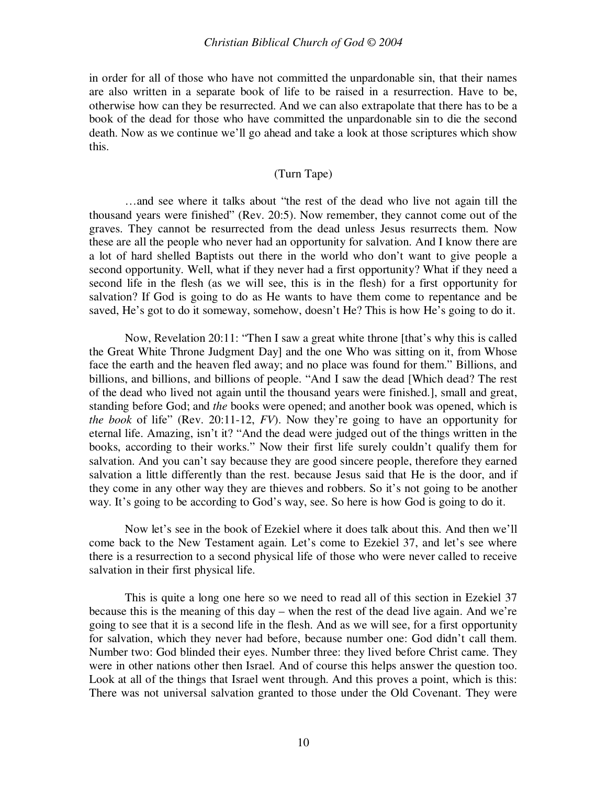in order for all of those who have not committed the unpardonable sin, that their names are also written in a separate book of life to be raised in a resurrection. Have to be, otherwise how can they be resurrected. And we can also extrapolate that there has to be a book of the dead for those who have committed the unpardonable sin to die the second death. Now as we continue we'll go ahead and take a look at those scriptures which show this.

# (Turn Tape)

 …and see where it talks about "the rest of the dead who live not again till the thousand years were finished" (Rev. 20:5). Now remember, they cannot come out of the graves. They cannot be resurrected from the dead unless Jesus resurrects them. Now these are all the people who never had an opportunity for salvation. And I know there are a lot of hard shelled Baptists out there in the world who don't want to give people a second opportunity. Well, what if they never had a first opportunity? What if they need a second life in the flesh (as we will see, this is in the flesh) for a first opportunity for salvation? If God is going to do as He wants to have them come to repentance and be saved, He's got to do it someway, somehow, doesn't He? This is how He's going to do it.

 Now, Revelation 20:11: "Then I saw a great white throne [that's why this is called the Great White Throne Judgment Day] and the one Who was sitting on it, from Whose face the earth and the heaven fled away; and no place was found for them." Billions, and billions, and billions, and billions of people. "And I saw the dead [Which dead? The rest of the dead who lived not again until the thousand years were finished.], small and great, standing before God; and *the* books were opened; and another book was opened, which is *the book* of life" (Rev. 20:11-12, *FV*). Now they're going to have an opportunity for eternal life. Amazing, isn't it? "And the dead were judged out of the things written in the books, according to their works." Now their first life surely couldn't qualify them for salvation. And you can't say because they are good sincere people, therefore they earned salvation a little differently than the rest. because Jesus said that He is the door, and if they come in any other way they are thieves and robbers. So it's not going to be another way. It's going to be according to God's way, see. So here is how God is going to do it.

 Now let's see in the book of Ezekiel where it does talk about this. And then we'll come back to the New Testament again. Let's come to Ezekiel 37, and let's see where there is a resurrection to a second physical life of those who were never called to receive salvation in their first physical life.

 This is quite a long one here so we need to read all of this section in Ezekiel 37 because this is the meaning of this day – when the rest of the dead live again. And we're going to see that it is a second life in the flesh. And as we will see, for a first opportunity for salvation, which they never had before, because number one: God didn't call them. Number two: God blinded their eyes. Number three: they lived before Christ came. They were in other nations other then Israel. And of course this helps answer the question too. Look at all of the things that Israel went through. And this proves a point, which is this: There was not universal salvation granted to those under the Old Covenant. They were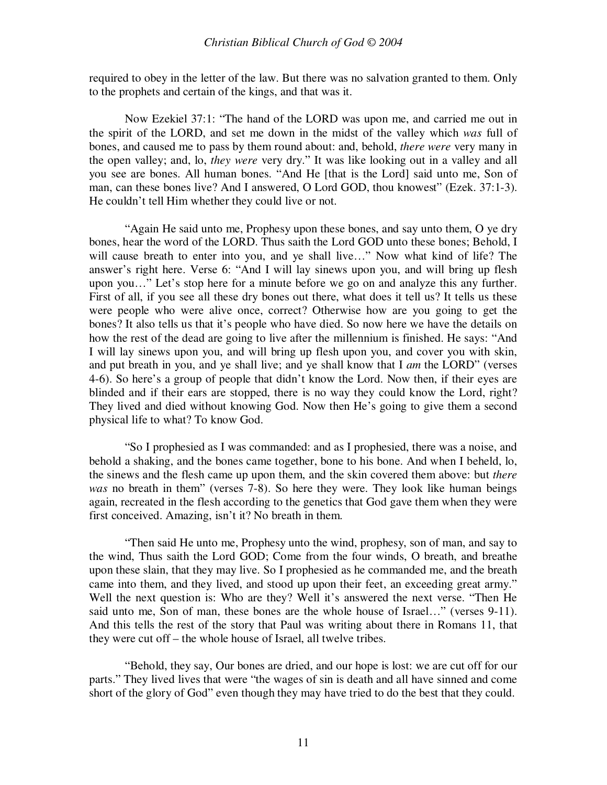required to obey in the letter of the law. But there was no salvation granted to them. Only to the prophets and certain of the kings, and that was it.

 Now Ezekiel 37:1: "The hand of the LORD was upon me, and carried me out in the spirit of the LORD, and set me down in the midst of the valley which *was* full of bones, and caused me to pass by them round about: and, behold, *there were* very many in the open valley; and, lo, *they were* very dry." It was like looking out in a valley and all you see are bones. All human bones. "And He [that is the Lord] said unto me, Son of man, can these bones live? And I answered, O Lord GOD, thou knowest" (Ezek. 37:1-3). He couldn't tell Him whether they could live or not.

 "Again He said unto me, Prophesy upon these bones, and say unto them, O ye dry bones, hear the word of the LORD. Thus saith the Lord GOD unto these bones; Behold, I will cause breath to enter into you, and ye shall live..." Now what kind of life? The answer's right here. Verse 6: "And I will lay sinews upon you, and will bring up flesh upon you…" Let's stop here for a minute before we go on and analyze this any further. First of all, if you see all these dry bones out there, what does it tell us? It tells us these were people who were alive once, correct? Otherwise how are you going to get the bones? It also tells us that it's people who have died. So now here we have the details on how the rest of the dead are going to live after the millennium is finished. He says: "And I will lay sinews upon you, and will bring up flesh upon you, and cover you with skin, and put breath in you, and ye shall live; and ye shall know that I *am* the LORD" (verses 4-6). So here's a group of people that didn't know the Lord. Now then, if their eyes are blinded and if their ears are stopped, there is no way they could know the Lord, right? They lived and died without knowing God. Now then He's going to give them a second physical life to what? To know God.

 "So I prophesied as I was commanded: and as I prophesied, there was a noise, and behold a shaking, and the bones came together, bone to his bone. And when I beheld, lo, the sinews and the flesh came up upon them, and the skin covered them above: but *there was* no breath in them" (verses 7-8). So here they were. They look like human beings again, recreated in the flesh according to the genetics that God gave them when they were first conceived. Amazing, isn't it? No breath in them.

 "Then said He unto me, Prophesy unto the wind, prophesy, son of man, and say to the wind, Thus saith the Lord GOD; Come from the four winds, O breath, and breathe upon these slain, that they may live. So I prophesied as he commanded me, and the breath came into them, and they lived, and stood up upon their feet, an exceeding great army." Well the next question is: Who are they? Well it's answered the next verse. "Then He said unto me, Son of man, these bones are the whole house of Israel…" (verses 9-11). And this tells the rest of the story that Paul was writing about there in Romans 11, that they were cut off – the whole house of Israel, all twelve tribes.

 "Behold, they say, Our bones are dried, and our hope is lost: we are cut off for our parts." They lived lives that were "the wages of sin is death and all have sinned and come short of the glory of God" even though they may have tried to do the best that they could.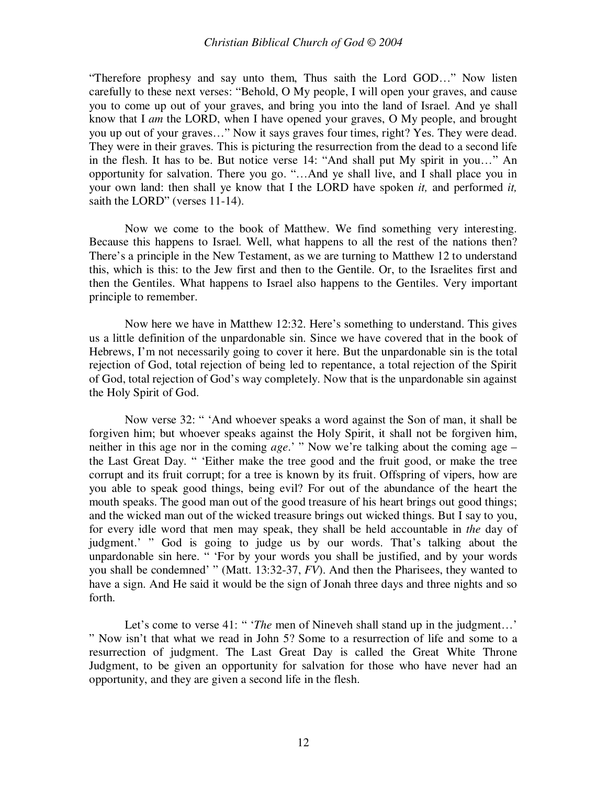"Therefore prophesy and say unto them, Thus saith the Lord GOD…" Now listen carefully to these next verses: "Behold, O My people, I will open your graves, and cause you to come up out of your graves, and bring you into the land of Israel. And ye shall know that I *am* the LORD, when I have opened your graves, O My people, and brought you up out of your graves…" Now it says graves four times, right? Yes. They were dead. They were in their graves. This is picturing the resurrection from the dead to a second life in the flesh. It has to be. But notice verse 14: "And shall put My spirit in you…" An opportunity for salvation. There you go. "…And ye shall live, and I shall place you in your own land: then shall ye know that I the LORD have spoken *it,* and performed *it,* saith the LORD" (verses 11-14).

 Now we come to the book of Matthew. We find something very interesting. Because this happens to Israel. Well, what happens to all the rest of the nations then? There's a principle in the New Testament, as we are turning to Matthew 12 to understand this, which is this: to the Jew first and then to the Gentile. Or, to the Israelites first and then the Gentiles. What happens to Israel also happens to the Gentiles. Very important principle to remember.

 Now here we have in Matthew 12:32. Here's something to understand. This gives us a little definition of the unpardonable sin. Since we have covered that in the book of Hebrews, I'm not necessarily going to cover it here. But the unpardonable sin is the total rejection of God, total rejection of being led to repentance, a total rejection of the Spirit of God, total rejection of God's way completely. Now that is the unpardonable sin against the Holy Spirit of God.

 Now verse 32: " 'And whoever speaks a word against the Son of man, it shall be forgiven him; but whoever speaks against the Holy Spirit, it shall not be forgiven him, neither in this age nor in the coming *age*.' " Now we're talking about the coming age – the Last Great Day. " 'Either make the tree good and the fruit good, or make the tree corrupt and its fruit corrupt; for a tree is known by its fruit. Offspring of vipers, how are you able to speak good things, being evil? For out of the abundance of the heart the mouth speaks. The good man out of the good treasure of his heart brings out good things; and the wicked man out of the wicked treasure brings out wicked things. But I say to you, for every idle word that men may speak, they shall be held accountable in *the* day of judgment.' " God is going to judge us by our words. That's talking about the unpardonable sin here. " 'For by your words you shall be justified, and by your words you shall be condemned' " (Matt. 13:32-37, *FV*). And then the Pharisees, they wanted to have a sign. And He said it would be the sign of Jonah three days and three nights and so forth.

Let's come to verse 41: " '*The* men of Nineveh shall stand up in the judgment...' " Now isn't that what we read in John 5? Some to a resurrection of life and some to a resurrection of judgment. The Last Great Day is called the Great White Throne Judgment, to be given an opportunity for salvation for those who have never had an opportunity, and they are given a second life in the flesh.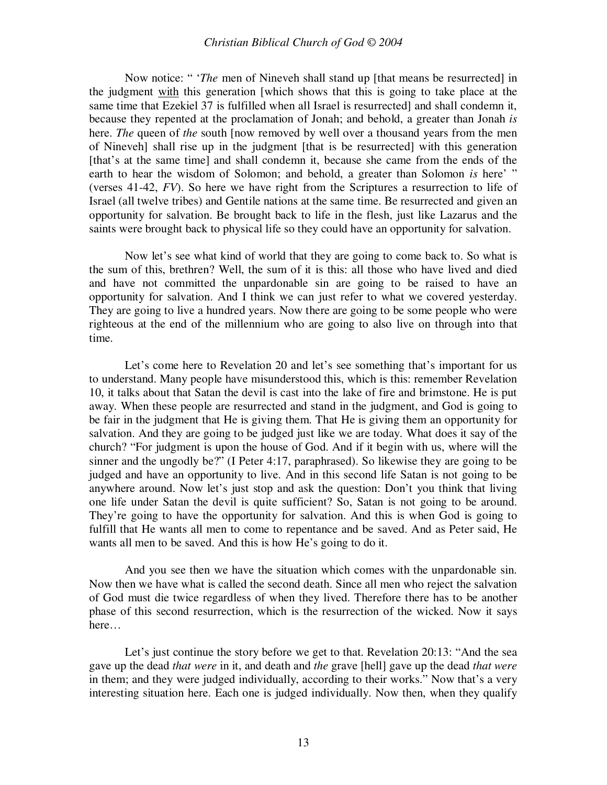Now notice: " '*The* men of Nineveh shall stand up [that means be resurrected] in the judgment with this generation [which shows that this is going to take place at the same time that Ezekiel 37 is fulfilled when all Israel is resurrected] and shall condemn it, because they repented at the proclamation of Jonah; and behold, a greater than Jonah *is* here. *The* queen of *the* south [now removed by well over a thousand years from the men of Nineveh] shall rise up in the judgment [that is be resurrected] with this generation [that's at the same time] and shall condemn it, because she came from the ends of the earth to hear the wisdom of Solomon; and behold, a greater than Solomon *is* here' " (verses 41-42, *FV*). So here we have right from the Scriptures a resurrection to life of Israel (all twelve tribes) and Gentile nations at the same time. Be resurrected and given an opportunity for salvation. Be brought back to life in the flesh, just like Lazarus and the saints were brought back to physical life so they could have an opportunity for salvation.

 Now let's see what kind of world that they are going to come back to. So what is the sum of this, brethren? Well, the sum of it is this: all those who have lived and died and have not committed the unpardonable sin are going to be raised to have an opportunity for salvation. And I think we can just refer to what we covered yesterday. They are going to live a hundred years. Now there are going to be some people who were righteous at the end of the millennium who are going to also live on through into that time.

Let's come here to Revelation 20 and let's see something that's important for us to understand. Many people have misunderstood this, which is this: remember Revelation 10, it talks about that Satan the devil is cast into the lake of fire and brimstone. He is put away. When these people are resurrected and stand in the judgment, and God is going to be fair in the judgment that He is giving them. That He is giving them an opportunity for salvation. And they are going to be judged just like we are today. What does it say of the church? "For judgment is upon the house of God. And if it begin with us, where will the sinner and the ungodly be?" (I Peter 4:17, paraphrased). So likewise they are going to be judged and have an opportunity to live. And in this second life Satan is not going to be anywhere around. Now let's just stop and ask the question: Don't you think that living one life under Satan the devil is quite sufficient? So, Satan is not going to be around. They're going to have the opportunity for salvation. And this is when God is going to fulfill that He wants all men to come to repentance and be saved. And as Peter said, He wants all men to be saved. And this is how He's going to do it.

 And you see then we have the situation which comes with the unpardonable sin. Now then we have what is called the second death. Since all men who reject the salvation of God must die twice regardless of when they lived. Therefore there has to be another phase of this second resurrection, which is the resurrection of the wicked. Now it says here…

Let's just continue the story before we get to that. Revelation 20:13: "And the sea gave up the dead *that were* in it, and death and *the* grave [hell] gave up the dead *that were* in them; and they were judged individually, according to their works." Now that's a very interesting situation here. Each one is judged individually. Now then, when they qualify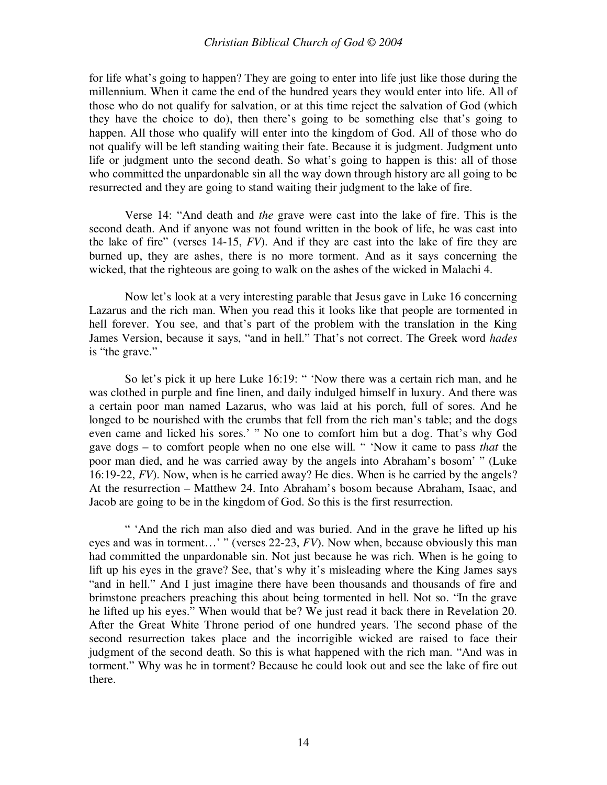for life what's going to happen? They are going to enter into life just like those during the millennium. When it came the end of the hundred years they would enter into life. All of those who do not qualify for salvation, or at this time reject the salvation of God (which they have the choice to do), then there's going to be something else that's going to happen. All those who qualify will enter into the kingdom of God. All of those who do not qualify will be left standing waiting their fate. Because it is judgment. Judgment unto life or judgment unto the second death. So what's going to happen is this: all of those who committed the unpardonable sin all the way down through history are all going to be resurrected and they are going to stand waiting their judgment to the lake of fire.

 Verse 14: "And death and *the* grave were cast into the lake of fire. This is the second death. And if anyone was not found written in the book of life, he was cast into the lake of fire" (verses 14-15, *FV*). And if they are cast into the lake of fire they are burned up, they are ashes, there is no more torment. And as it says concerning the wicked, that the righteous are going to walk on the ashes of the wicked in Malachi 4.

 Now let's look at a very interesting parable that Jesus gave in Luke 16 concerning Lazarus and the rich man. When you read this it looks like that people are tormented in hell forever. You see, and that's part of the problem with the translation in the King James Version, because it says, "and in hell." That's not correct. The Greek word *hades* is "the grave."

 So let's pick it up here Luke 16:19: " 'Now there was a certain rich man, and he was clothed in purple and fine linen, and daily indulged himself in luxury. And there was a certain poor man named Lazarus, who was laid at his porch, full of sores. And he longed to be nourished with the crumbs that fell from the rich man's table; and the dogs even came and licked his sores.' " No one to comfort him but a dog. That's why God gave dogs – to comfort people when no one else will. " 'Now it came to pass *that* the poor man died, and he was carried away by the angels into Abraham's bosom' " (Luke 16:19-22, *FV*). Now, when is he carried away? He dies. When is he carried by the angels? At the resurrection – Matthew 24. Into Abraham's bosom because Abraham, Isaac, and Jacob are going to be in the kingdom of God. So this is the first resurrection.

 " 'And the rich man also died and was buried. And in the grave he lifted up his eyes and was in torment…' " (verses 22-23, *FV*). Now when, because obviously this man had committed the unpardonable sin. Not just because he was rich. When is he going to lift up his eyes in the grave? See, that's why it's misleading where the King James says "and in hell." And I just imagine there have been thousands and thousands of fire and brimstone preachers preaching this about being tormented in hell. Not so. "In the grave he lifted up his eyes." When would that be? We just read it back there in Revelation 20. After the Great White Throne period of one hundred years. The second phase of the second resurrection takes place and the incorrigible wicked are raised to face their judgment of the second death. So this is what happened with the rich man. "And was in torment." Why was he in torment? Because he could look out and see the lake of fire out there.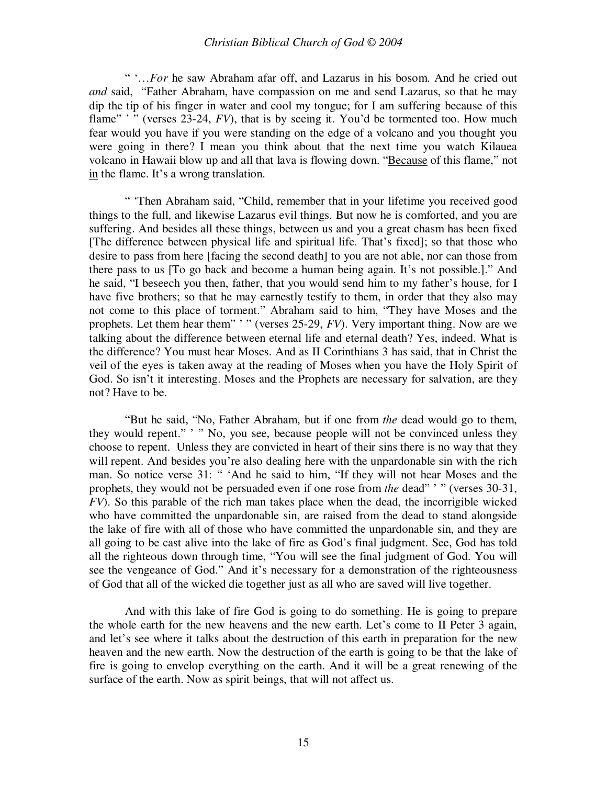" '…*For* he saw Abraham afar off, and Lazarus in his bosom. And he cried out *and* said, "Father Abraham, have compassion on me and send Lazarus, so that he may dip the tip of his finger in water and cool my tongue; for I am suffering because of this flame" '" (verses 23-24, *FV*), that is by seeing it. You'd be tormented too. How much fear would you have if you were standing on the edge of a volcano and you thought you were going in there? I mean you think about that the next time you watch Kilauea volcano in Hawaii blow up and all that lava is flowing down. "Because of this flame," not in the flame. It's a wrong translation.

 " 'Then Abraham said, "Child, remember that in your lifetime you received good things to the full, and likewise Lazarus evil things. But now he is comforted, and you are suffering. And besides all these things, between us and you a great chasm has been fixed [The difference between physical life and spiritual life. That's fixed]; so that those who desire to pass from here [facing the second death] to you are not able, nor can those from there pass to us [To go back and become a human being again. It's not possible.]." And he said, "I beseech you then, father, that you would send him to my father's house, for I have five brothers; so that he may earnestly testify to them, in order that they also may not come to this place of torment." Abraham said to him, "They have Moses and the prophets. Let them hear them" '" (verses 25-29, *FV*). Very important thing. Now are we talking about the difference between eternal life and eternal death? Yes, indeed. What is the difference? You must hear Moses. And as II Corinthians 3 has said, that in Christ the veil of the eyes is taken away at the reading of Moses when you have the Holy Spirit of God. So isn't it interesting. Moses and the Prophets are necessary for salvation, are they not? Have to be.

 "But he said, "No, Father Abraham, but if one from *the* dead would go to them, they would repent." ' " No, you see, because people will not be convinced unless they choose to repent. Unless they are convicted in heart of their sins there is no way that they will repent. And besides you're also dealing here with the unpardonable sin with the rich man. So notice verse 31: " 'And he said to him, "If they will not hear Moses and the prophets, they would not be persuaded even if one rose from *the* dead" ' " (verses 30-31, *FV*). So this parable of the rich man takes place when the dead, the incorrigible wicked who have committed the unpardonable sin, are raised from the dead to stand alongside the lake of fire with all of those who have committed the unpardonable sin, and they are all going to be cast alive into the lake of fire as God's final judgment. See, God has told all the righteous down through time, "You will see the final judgment of God. You will see the vengeance of God." And it's necessary for a demonstration of the righteousness of God that all of the wicked die together just as all who are saved will live together.

 And with this lake of fire God is going to do something. He is going to prepare the whole earth for the new heavens and the new earth. Let's come to II Peter 3 again, and let's see where it talks about the destruction of this earth in preparation for the new heaven and the new earth. Now the destruction of the earth is going to be that the lake of fire is going to envelop everything on the earth. And it will be a great renewing of the surface of the earth. Now as spirit beings, that will not affect us.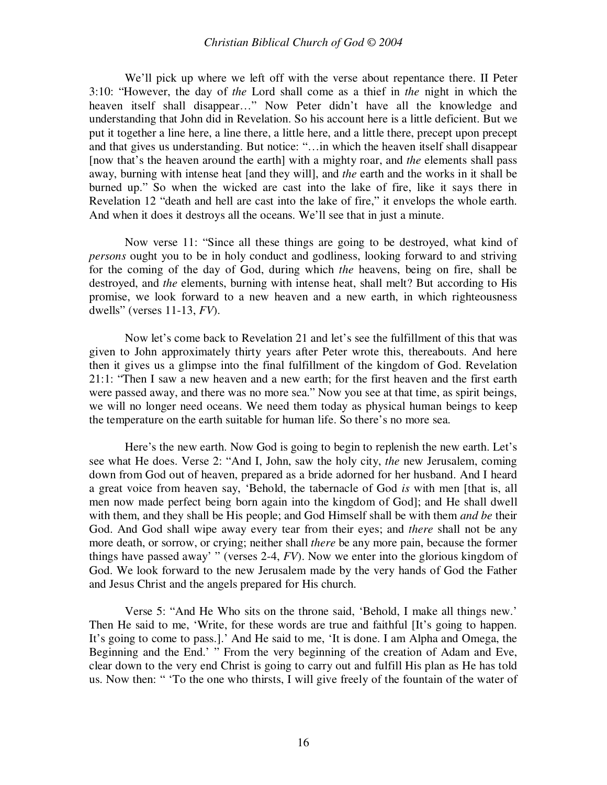We'll pick up where we left off with the verse about repentance there. II Peter 3:10: "However, the day of *the* Lord shall come as a thief in *the* night in which the heaven itself shall disappear…" Now Peter didn't have all the knowledge and understanding that John did in Revelation. So his account here is a little deficient. But we put it together a line here, a line there, a little here, and a little there, precept upon precept and that gives us understanding. But notice: "…in which the heaven itself shall disappear [now that's the heaven around the earth] with a mighty roar, and *the* elements shall pass away, burning with intense heat [and they will], and *the* earth and the works in it shall be burned up." So when the wicked are cast into the lake of fire, like it says there in Revelation 12 "death and hell are cast into the lake of fire," it envelops the whole earth. And when it does it destroys all the oceans. We'll see that in just a minute.

 Now verse 11: "Since all these things are going to be destroyed, what kind of *persons* ought you to be in holy conduct and godliness, looking forward to and striving for the coming of the day of God, during which *the* heavens, being on fire, shall be destroyed, and *the* elements, burning with intense heat, shall melt? But according to His promise, we look forward to a new heaven and a new earth, in which righteousness dwells" (verses 11-13, *FV*).

 Now let's come back to Revelation 21 and let's see the fulfillment of this that was given to John approximately thirty years after Peter wrote this, thereabouts. And here then it gives us a glimpse into the final fulfillment of the kingdom of God. Revelation 21:1: "Then I saw a new heaven and a new earth; for the first heaven and the first earth were passed away, and there was no more sea." Now you see at that time, as spirit beings, we will no longer need oceans. We need them today as physical human beings to keep the temperature on the earth suitable for human life. So there's no more sea.

 Here's the new earth. Now God is going to begin to replenish the new earth. Let's see what He does. Verse 2: "And I, John, saw the holy city, *the* new Jerusalem, coming down from God out of heaven, prepared as a bride adorned for her husband. And I heard a great voice from heaven say, 'Behold, the tabernacle of God *is* with men [that is, all men now made perfect being born again into the kingdom of God]; and He shall dwell with them, and they shall be His people; and God Himself shall be with them *and be* their God. And God shall wipe away every tear from their eyes; and *there* shall not be any more death, or sorrow, or crying; neither shall *there* be any more pain, because the former things have passed away' " (verses 2-4, *FV*). Now we enter into the glorious kingdom of God. We look forward to the new Jerusalem made by the very hands of God the Father and Jesus Christ and the angels prepared for His church.

 Verse 5: "And He Who sits on the throne said, 'Behold, I make all things new.' Then He said to me, 'Write, for these words are true and faithful [It's going to happen. It's going to come to pass.].' And He said to me, 'It is done. I am Alpha and Omega, the Beginning and the End.' " From the very beginning of the creation of Adam and Eve, clear down to the very end Christ is going to carry out and fulfill His plan as He has told us. Now then: " 'To the one who thirsts, I will give freely of the fountain of the water of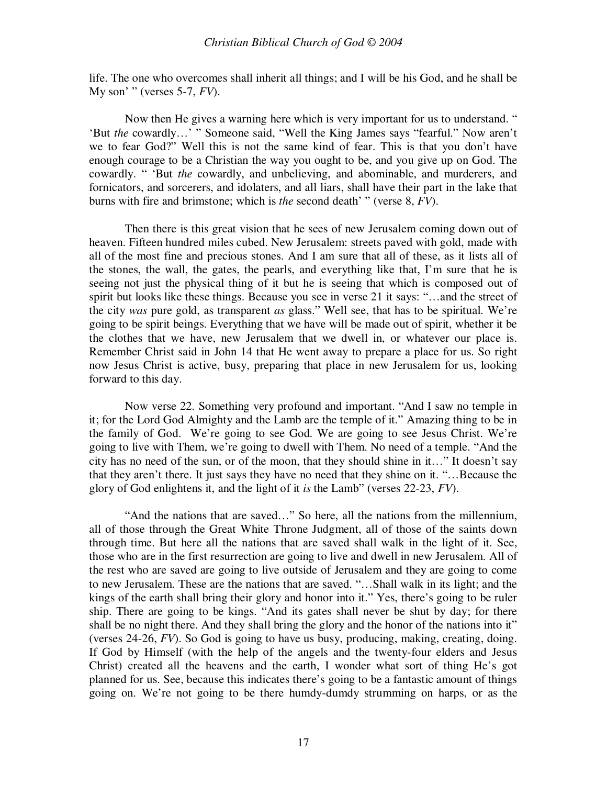life. The one who overcomes shall inherit all things; and I will be his God, and he shall be My son' " (verses 5-7, *FV*).

 Now then He gives a warning here which is very important for us to understand. " 'But *the* cowardly…' " Someone said, "Well the King James says "fearful." Now aren't we to fear God?" Well this is not the same kind of fear. This is that you don't have enough courage to be a Christian the way you ought to be, and you give up on God. The cowardly. " 'But *the* cowardly, and unbelieving, and abominable, and murderers, and fornicators, and sorcerers, and idolaters, and all liars, shall have their part in the lake that burns with fire and brimstone; which is *the* second death' " (verse 8, *FV*).

 Then there is this great vision that he sees of new Jerusalem coming down out of heaven. Fifteen hundred miles cubed. New Jerusalem: streets paved with gold, made with all of the most fine and precious stones. And I am sure that all of these, as it lists all of the stones, the wall, the gates, the pearls, and everything like that, I'm sure that he is seeing not just the physical thing of it but he is seeing that which is composed out of spirit but looks like these things. Because you see in verse 21 it says: "…and the street of the city *was* pure gold, as transparent *as* glass." Well see, that has to be spiritual. We're going to be spirit beings. Everything that we have will be made out of spirit, whether it be the clothes that we have, new Jerusalem that we dwell in, or whatever our place is. Remember Christ said in John 14 that He went away to prepare a place for us. So right now Jesus Christ is active, busy, preparing that place in new Jerusalem for us, looking forward to this day.

 Now verse 22. Something very profound and important. "And I saw no temple in it; for the Lord God Almighty and the Lamb are the temple of it." Amazing thing to be in the family of God. We're going to see God. We are going to see Jesus Christ. We're going to live with Them, we're going to dwell with Them. No need of a temple. "And the city has no need of the sun, or of the moon, that they should shine in it…" It doesn't say that they aren't there. It just says they have no need that they shine on it. "…Because the glory of God enlightens it, and the light of it *is* the Lamb" (verses 22-23, *FV*).

 "And the nations that are saved…" So here, all the nations from the millennium, all of those through the Great White Throne Judgment, all of those of the saints down through time. But here all the nations that are saved shall walk in the light of it. See, those who are in the first resurrection are going to live and dwell in new Jerusalem. All of the rest who are saved are going to live outside of Jerusalem and they are going to come to new Jerusalem. These are the nations that are saved. "…Shall walk in its light; and the kings of the earth shall bring their glory and honor into it." Yes, there's going to be ruler ship. There are going to be kings. "And its gates shall never be shut by day; for there shall be no night there. And they shall bring the glory and the honor of the nations into it" (verses 24-26, *FV*). So God is going to have us busy, producing, making, creating, doing. If God by Himself (with the help of the angels and the twenty-four elders and Jesus Christ) created all the heavens and the earth, I wonder what sort of thing He's got planned for us. See, because this indicates there's going to be a fantastic amount of things going on. We're not going to be there humdy-dumdy strumming on harps, or as the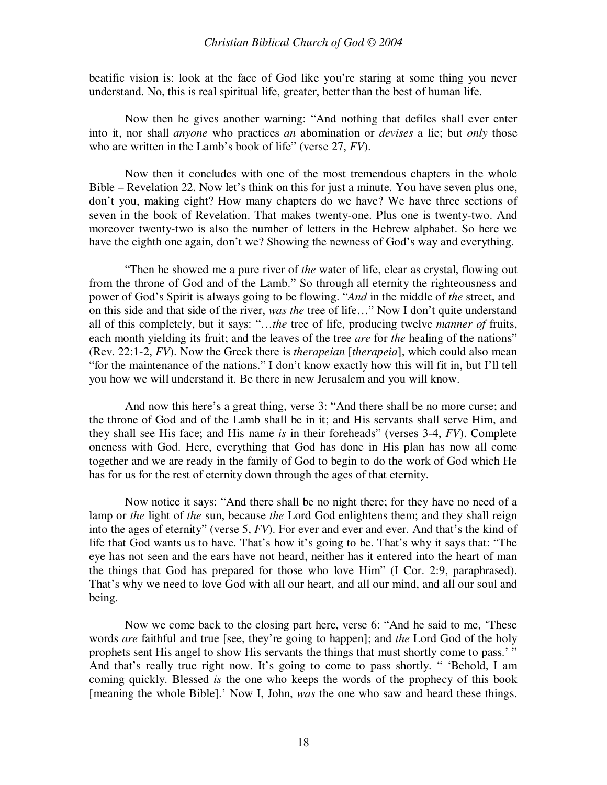beatific vision is: look at the face of God like you're staring at some thing you never understand. No, this is real spiritual life, greater, better than the best of human life.

 Now then he gives another warning: "And nothing that defiles shall ever enter into it, nor shall *anyone* who practices *an* abomination or *devises* a lie; but *only* those who are written in the Lamb's book of life" (verse 27, *FV*).

 Now then it concludes with one of the most tremendous chapters in the whole Bible – Revelation 22. Now let's think on this for just a minute. You have seven plus one, don't you, making eight? How many chapters do we have? We have three sections of seven in the book of Revelation. That makes twenty-one. Plus one is twenty-two. And moreover twenty-two is also the number of letters in the Hebrew alphabet. So here we have the eighth one again, don't we? Showing the newness of God's way and everything.

 "Then he showed me a pure river of *the* water of life, clear as crystal, flowing out from the throne of God and of the Lamb." So through all eternity the righteousness and power of God's Spirit is always going to be flowing. "*And* in the middle of *the* street, and on this side and that side of the river, *was the* tree of life…" Now I don't quite understand all of this completely, but it says: "…*the* tree of life, producing twelve *manner of* fruits, each month yielding its fruit; and the leaves of the tree *are* for *the* healing of the nations" (Rev. 22:1-2, *FV*). Now the Greek there is *therapeian* [*therapeia*], which could also mean "for the maintenance of the nations." I don't know exactly how this will fit in, but I'll tell you how we will understand it. Be there in new Jerusalem and you will know.

 And now this here's a great thing, verse 3: "And there shall be no more curse; and the throne of God and of the Lamb shall be in it; and His servants shall serve Him, and they shall see His face; and His name *is* in their foreheads" (verses 3-4, *FV*). Complete oneness with God. Here, everything that God has done in His plan has now all come together and we are ready in the family of God to begin to do the work of God which He has for us for the rest of eternity down through the ages of that eternity.

 Now notice it says: "And there shall be no night there; for they have no need of a lamp or *the* light of *the* sun, because *the* Lord God enlightens them; and they shall reign into the ages of eternity" (verse 5, *FV*). For ever and ever and ever. And that's the kind of life that God wants us to have. That's how it's going to be. That's why it says that: "The eye has not seen and the ears have not heard, neither has it entered into the heart of man the things that God has prepared for those who love Him" (I Cor. 2:9, paraphrased). That's why we need to love God with all our heart, and all our mind, and all our soul and being.

 Now we come back to the closing part here, verse 6: "And he said to me, 'These words *are* faithful and true [see, they're going to happen]; and *the* Lord God of the holy prophets sent His angel to show His servants the things that must shortly come to pass.' " And that's really true right now. It's going to come to pass shortly. " 'Behold, I am coming quickly. Blessed *is* the one who keeps the words of the prophecy of this book [meaning the whole Bible].' Now I, John, *was* the one who saw and heard these things.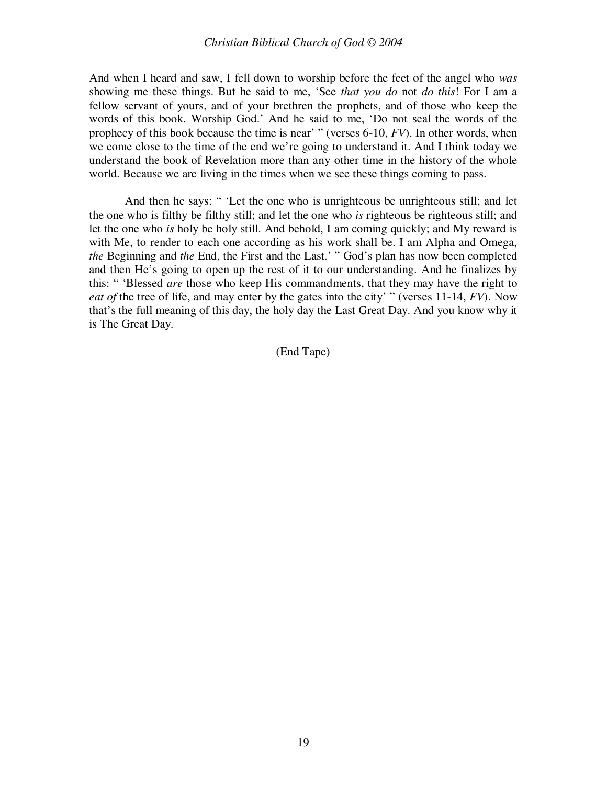And when I heard and saw, I fell down to worship before the feet of the angel who *was* showing me these things. But he said to me, 'See *that you do* not *do this*! For I am a fellow servant of yours, and of your brethren the prophets, and of those who keep the words of this book. Worship God.' And he said to me, 'Do not seal the words of the prophecy of this book because the time is near' " (verses 6-10, *FV*). In other words, when we come close to the time of the end we're going to understand it. And I think today we understand the book of Revelation more than any other time in the history of the whole world. Because we are living in the times when we see these things coming to pass.

 And then he says: " 'Let the one who is unrighteous be unrighteous still; and let the one who is filthy be filthy still; and let the one who *is* righteous be righteous still; and let the one who *is* holy be holy still. And behold, I am coming quickly; and My reward is with Me, to render to each one according as his work shall be. I am Alpha and Omega, *the* Beginning and *the* End, the First and the Last.' " God's plan has now been completed and then He's going to open up the rest of it to our understanding. And he finalizes by this: " 'Blessed *are* those who keep His commandments, that they may have the right to *eat of* the tree of life, and may enter by the gates into the city' " (verses 11-14, *FV*). Now that's the full meaning of this day, the holy day the Last Great Day. And you know why it is The Great Day.

(End Tape)